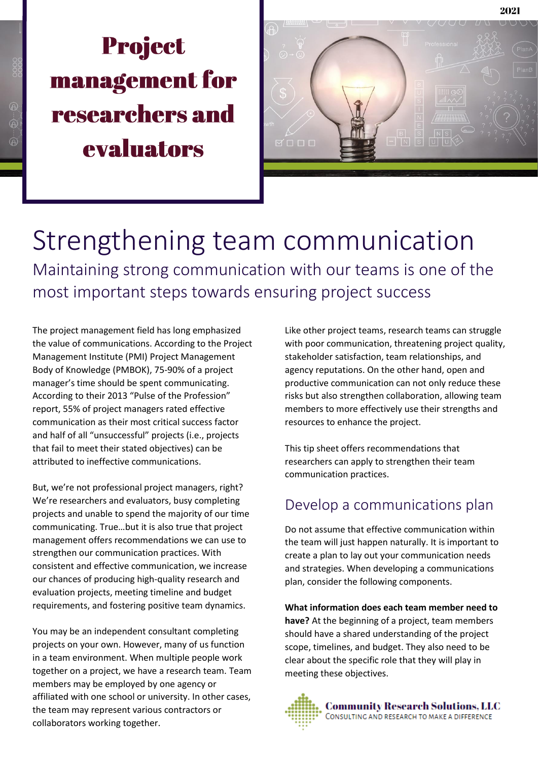# **Project management for** researchers and evaluators



Strengthening team communication Maintaining strong communication with our teams is one of the most important steps towards ensuring project success

The project management field has long emphasized the value of communications. According to the Project Management Institute (PMI) Project Management Body of Knowledge (PMBOK), 75-90% of a project manager's time should be spent communicating. According to their 2013 "Pulse of the Profession" report, 55% of project managers rated effective communication as their most critical success factor and half of all "unsuccessful" projects (i.e., projects that fail to meet their stated objectives) can be attributed to ineffective communications.

But, we're not professional project managers, right? We're researchers and evaluators, busy completing projects and unable to spend the majority of our time communicating. True…but it is also true that project management offers recommendations we can use to strengthen our communication practices. With consistent and effective communication, we increase our chances of producing high-quality research and evaluation projects, meeting timeline and budget requirements, and fostering positive team dynamics.

You may be an independent consultant completing projects on your own. However, many of us function in a team environment. When multiple people work together on a project, we have a research team. Team members may be employed by one agency or affiliated with one school or university. In other cases, the team may represent various contractors or collaborators working together.

Like other project teams, research teams can struggle with poor communication, threatening project quality, stakeholder satisfaction, team relationships, and agency reputations. On the other hand, open and productive communication can not only reduce these risks but also strengthen collaboration, allowing team members to more effectively use their strengths and resources to enhance the project.

This tip sheet offers recommendations that researchers can apply to strengthen their team communication practices.

## Develop a communications plan

Do not assume that effective communication within the team will just happen naturally. It is important to create a plan to lay out your communication needs and strategies. When developing a communications plan, consider the following components.

**What information does each team member need to have?** At the beginning of a project, team members should have a shared understanding of the project scope, timelines, and budget. They also need to be clear about the specific role that they will play in meeting these objectives.

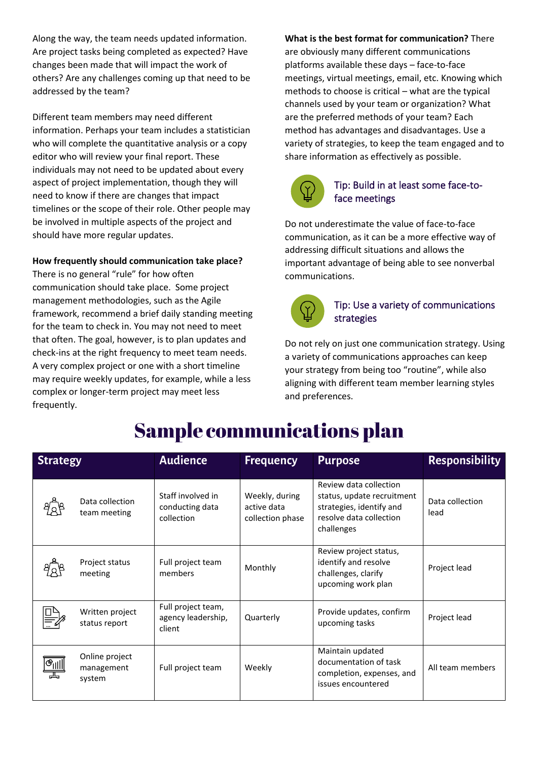Along the way, the team needs updated information. Are project tasks being completed as expected? Have changes been made that will impact the work of others? Are any challenges coming up that need to be addressed by the team?

Different team members may need different information. Perhaps your team includes a statistician who will complete the quantitative analysis or a copy editor who will review your final report. These individuals may not need to be updated about every aspect of project implementation, though they will need to know if there are changes that impact timelines or the scope of their role. Other people may be involved in multiple aspects of the project and should have more regular updates.

#### **How frequently should communication take place?**

There is no general "rule" for how often communication should take place. Some project management methodologies, such as the Agile framework, recommend a brief daily standing meeting for the team to check in. You may not need to meet that often. The goal, however, is to plan updates and check-ins at the right frequency to meet team needs. A very complex project or one with a short timeline may require weekly updates, for example, while a less complex or longer-term project may meet less frequently.

**What is the best format for communication?** There are obviously many different communications platforms available these days – face-to-face meetings, virtual meetings, email, etc. Knowing which methods to choose is critical – what are the typical channels used by your team or organization? What are the preferred methods of your team? Each method has advantages and disadvantages. Use a variety of strategies, to keep the team engaged and to share information as effectively as possible.



## Tip: Build in at least some face-toface meetings

Do not underestimate the value of face-to-face communication, as it can be a more effective way of addressing difficult situations and allows the important advantage of being able to see nonverbal communications.



## Tip: Use a variety of communications strategies

Do not rely on just one communication strategy. Using a variety of communications approaches can keep your strategy from being too "routine", while also aligning with different team member learning styles and preferences.

| <b>Strategy</b>                                                       |                                        | <b>Audience</b>                                    | <b>Frequency</b>                                  | <b>Purpose</b>                                                                                                            | <b>Responsibility</b>   |
|-----------------------------------------------------------------------|----------------------------------------|----------------------------------------------------|---------------------------------------------------|---------------------------------------------------------------------------------------------------------------------------|-------------------------|
|                                                                       | Data collection<br>team meeting        | Staff involved in<br>conducting data<br>collection | Weekly, during<br>active data<br>collection phase | Review data collection<br>status, update recruitment<br>strategies, identify and<br>resolve data collection<br>challenges | Data collection<br>lead |
|                                                                       | Project status<br>meeting              | Full project team<br>members                       | Monthly                                           | Review project status,<br>identify and resolve<br>challenges, clarify<br>upcoming work plan                               | Project lead            |
|                                                                       | Written project<br>status report       | Full project team,<br>agency leadership,<br>client | Quarterly                                         | Provide updates, confirm<br>upcoming tasks                                                                                | Project lead            |
| $\frac{\mathbb{E}[\mathbb{E}_{\text{min}}]}{\mathbb{E}_{\text{max}}}$ | Online project<br>management<br>system | Full project team                                  | Weekly                                            | Maintain updated<br>documentation of task<br>completion, expenses, and<br>issues encountered                              | All team members        |

## **Sample communications plan**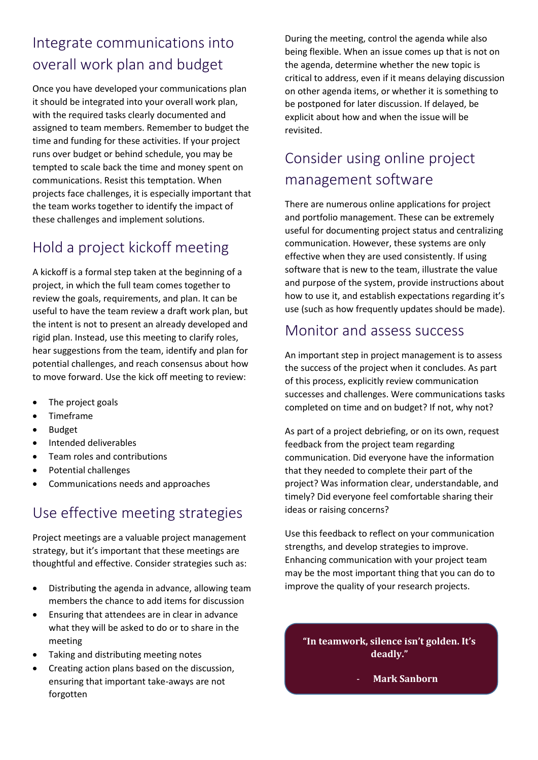## Integrate communications into overall work plan and budget

Once you have developed your communications plan it should be integrated into your overall work plan, with the required tasks clearly documented and assigned to team members. Remember to budget the time and funding for these activities. If your project runs over budget or behind schedule, you may be tempted to scale back the time and money spent on communications. Resist this temptation. When projects face challenges, it is especially important that the team works together to identify the impact of these challenges and implement solutions.

## Hold a project kickoff meeting

A kickoff is a formal step taken at the beginning of a project, in which the full team comes together to review the goals, requirements, and plan. It can be useful to have the team review a draft work plan, but the intent is not to present an already developed and rigid plan. Instead, use this meeting to clarify roles, hear suggestions from the team, identify and plan for potential challenges, and reach consensus about how to move forward. Use the kick off meeting to review:

- The project goals
- Timeframe
- Budget
- Intended deliverables
- Team roles and contributions
- Potential challenges
- Communications needs and approaches

## Use effective meeting strategies

Project meetings are a valuable project management strategy, but it's important that these meetings are thoughtful and effective. Consider strategies such as:

- Distributing the agenda in advance, allowing team members the chance to add items for discussion
- Ensuring that attendees are in clear in advance what they will be asked to do or to share in the meeting
- Taking and distributing meeting notes
- Creating action plans based on the discussion, ensuring that important take-aways are not forgotten

During the meeting, control the agenda while also being flexible. When an issue comes up that is not on the agenda, determine whether the new topic is critical to address, even if it means delaying discussion on other agenda items, or whether it is something to be postponed for later discussion. If delayed, be explicit about how and when the issue will be revisited.

## Consider using online project management software

There are numerous online applications for project and portfolio management. These can be extremely useful for documenting project status and centralizing communication. However, these systems are only effective when they are used consistently. If using software that is new to the team, illustrate the value and purpose of the system, provide instructions about how to use it, and establish expectations regarding it's use (such as how frequently updates should be made).

## Monitor and assess success

An important step in project management is to assess the success of the project when it concludes. As part of this process, explicitly review communication successes and challenges. Were communications tasks completed on time and on budget? If not, why not?

As part of a project debriefing, or on its own, request feedback from the project team regarding communication. Did everyone have the information that they needed to complete their part of the project? Was information clear, understandable, and timely? Did everyone feel comfortable sharing their ideas or raising concerns?

Use this feedback to reflect on your communication strengths, and develop strategies to improve. Enhancing communication with your project team may be the most important thing that you can do to improve the quality of your research projects.

**"In teamwork, silence isn't golden. It's deadly."**

- **Mark Sanborn**